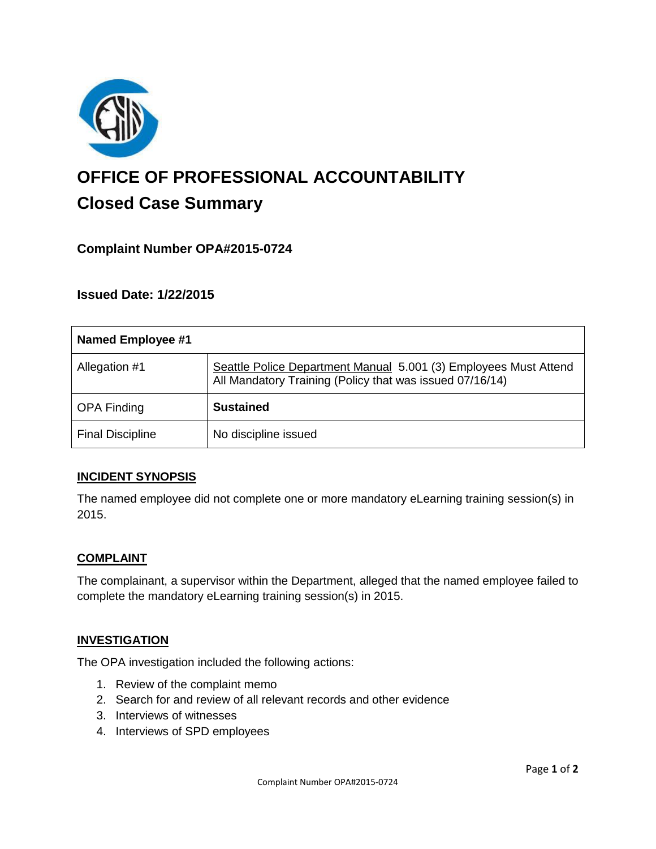

# **OFFICE OF PROFESSIONAL ACCOUNTABILITY Closed Case Summary**

# **Complaint Number OPA#2015-0724**

**Issued Date: 1/22/2015**

| Named Employee #1       |                                                                                                                              |
|-------------------------|------------------------------------------------------------------------------------------------------------------------------|
| Allegation #1           | Seattle Police Department Manual 5.001 (3) Employees Must Attend<br>All Mandatory Training (Policy that was issued 07/16/14) |
| <b>OPA Finding</b>      | <b>Sustained</b>                                                                                                             |
| <b>Final Discipline</b> | No discipline issued                                                                                                         |

#### **INCIDENT SYNOPSIS**

The named employee did not complete one or more mandatory eLearning training session(s) in 2015.

#### **COMPLAINT**

The complainant, a supervisor within the Department, alleged that the named employee failed to complete the mandatory eLearning training session(s) in 2015.

#### **INVESTIGATION**

The OPA investigation included the following actions:

- 1. Review of the complaint memo
- 2. Search for and review of all relevant records and other evidence
- 3. Interviews of witnesses
- 4. Interviews of SPD employees